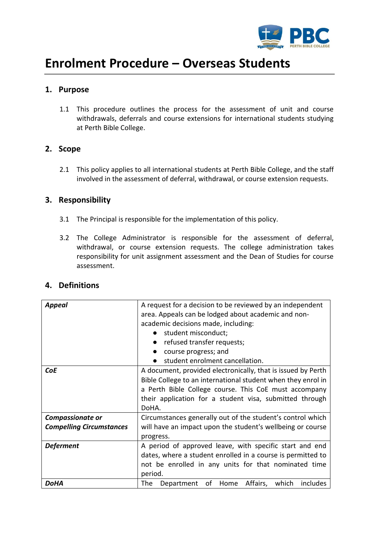

# **Enrolment Procedure – Overseas Students**

# **1. Purpose**

1.1 This procedure outlines the process for the assessment of unit and course withdrawals, deferrals and course extensions for international students studying at Perth Bible College.

# **2. Scope**

2.1 This policy applies to all international students at Perth Bible College, and the staff involved in the assessment of deferral, withdrawal, or course extension requests.

# **3. Responsibility**

- 3.1 The Principal is responsible for the implementation of this policy.
- 3.2 The College Administrator is responsible for the assessment of deferral, withdrawal, or course extension requests. The college administration takes responsibility for unit assignment assessment and the Dean of Studies for course assessment.

| <b>Appeal</b>                                              | A request for a decision to be reviewed by an independent<br>area. Appeals can be lodged about academic and non-<br>academic decisions made, including:<br>student misconduct;<br>refused transfer requests;<br>course progress; and<br>student enrolment cancellation. |  |  |
|------------------------------------------------------------|-------------------------------------------------------------------------------------------------------------------------------------------------------------------------------------------------------------------------------------------------------------------------|--|--|
| <b>CoE</b>                                                 | A document, provided electronically, that is issued by Perth<br>Bible College to an international student when they enrol in<br>a Perth Bible College course. This CoE must accompany<br>their application for a student visa, submitted through<br>DoHA.               |  |  |
| <b>Compassionate or</b><br><b>Compelling Circumstances</b> | Circumstances generally out of the student's control which<br>will have an impact upon the student's wellbeing or course<br>progress.                                                                                                                                   |  |  |
| <b>Deferment</b>                                           | A period of approved leave, with specific start and end<br>dates, where a student enrolled in a course is permitted to<br>not be enrolled in any units for that nominated time<br>period.                                                                               |  |  |
| <b>DoHA</b>                                                | of Home<br>Affairs,<br>includes<br>which<br>The<br>Department                                                                                                                                                                                                           |  |  |

# **4. Definitions**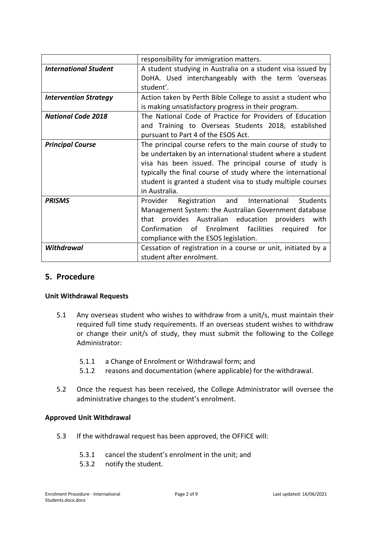|                              | responsibility for immigration matters.                       |  |  |  |
|------------------------------|---------------------------------------------------------------|--|--|--|
| <b>International Student</b> | A student studying in Australia on a student visa issued by   |  |  |  |
|                              | DoHA. Used interchangeably with the term 'overseas            |  |  |  |
|                              | student'.                                                     |  |  |  |
| <b>Intervention Strategy</b> | Action taken by Perth Bible College to assist a student who   |  |  |  |
|                              | is making unsatisfactory progress in their program.           |  |  |  |
| <b>National Code 2018</b>    | The National Code of Practice for Providers of Education      |  |  |  |
|                              | and Training to Overseas Students 2018, established           |  |  |  |
|                              | pursuant to Part 4 of the ESOS Act.                           |  |  |  |
| <b>Principal Course</b>      | The principal course refers to the main course of study to    |  |  |  |
|                              | be undertaken by an international student where a student     |  |  |  |
|                              | visa has been issued. The principal course of study is        |  |  |  |
|                              | typically the final course of study where the international   |  |  |  |
|                              | student is granted a student visa to study multiple courses   |  |  |  |
|                              | in Australia.                                                 |  |  |  |
| <b>PRISMS</b>                | Students<br>Registration and International<br>Provider        |  |  |  |
|                              | Management System: the Australian Government database         |  |  |  |
|                              | provides Australian education providers<br>with<br>that       |  |  |  |
|                              | Confirmation of Enrolment facilities required<br>for          |  |  |  |
|                              | compliance with the ESOS legislation.                         |  |  |  |
| <b>Withdrawal</b>            | Cessation of registration in a course or unit, initiated by a |  |  |  |
|                              | student after enrolment.                                      |  |  |  |

# **5. Procedure**

#### **Unit Withdrawal Requests**

- 5.1 Any overseas student who wishes to withdraw from a unit/s, must maintain their required full time study requirements. If an overseas student wishes to withdraw or change their unit/s of study, they must submit the following to the College Administrator:
	- 5.1.1 a Change of Enrolment or Withdrawal form; and
	- 5.1.2 reasons and documentation (where applicable) for the withdrawal.
- 5.2 Once the request has been received, the College Administrator will oversee the administrative changes to the student's enrolment.

#### **Approved Unit Withdrawal**

- 5.3 If the withdrawal request has been approved, the OFFICE will:
	- 5.3.1 cancel the student's enrolment in the unit; and
	- 5.3.2 notify the student.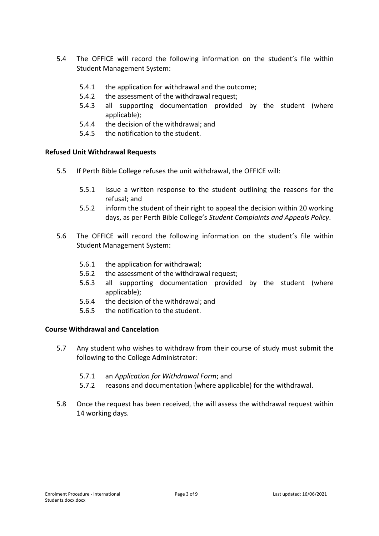- 5.4 The OFFICE will record the following information on the student's file within Student Management System:
	- 5.4.1 the application for withdrawal and the outcome;
	- 5.4.2 the assessment of the withdrawal request;
	- 5.4.3 all supporting documentation provided by the student (where applicable);
	- 5.4.4 the decision of the withdrawal; and
	- 5.4.5 the notification to the student.

#### **Refused Unit Withdrawal Requests**

- 5.5 If Perth Bible College refuses the unit withdrawal, the OFFICE will:
	- 5.5.1 issue a written response to the student outlining the reasons for the refusal; and
	- 5.5.2 inform the student of their right to appeal the decision within 20 working days, as per Perth Bible College's *Student Complaints and Appeals Policy*.
- 5.6 The OFFICE will record the following information on the student's file within Student Management System:
	- 5.6.1 the application for withdrawal;
	- 5.6.2 the assessment of the withdrawal request;
	- 5.6.3 all supporting documentation provided by the student (where applicable);
	- 5.6.4 the decision of the withdrawal; and
	- 5.6.5 the notification to the student.

#### **Course Withdrawal and Cancelation**

- 5.7 Any student who wishes to withdraw from their course of study must submit the following to the College Administrator:
	- 5.7.1 an *Application for Withdrawal Form*; and
	- 5.7.2 reasons and documentation (where applicable) for the withdrawal.
- 5.8 Once the request has been received, the will assess the withdrawal request within 14 working days.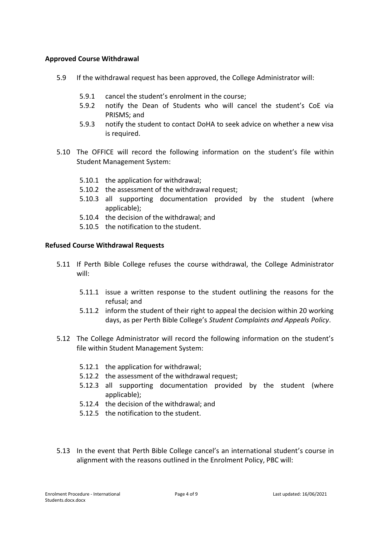#### **Approved Course Withdrawal**

- 5.9 If the withdrawal request has been approved, the College Administrator will:
	- 5.9.1 cancel the student's enrolment in the course;
	- 5.9.2 notify the Dean of Students who will cancel the student's CoE via PRISMS; and
	- 5.9.3 notify the student to contact DoHA to seek advice on whether a new visa is required.
- 5.10 The OFFICE will record the following information on the student's file within Student Management System:
	- 5.10.1 the application for withdrawal;
	- 5.10.2 the assessment of the withdrawal request;
	- 5.10.3 all supporting documentation provided by the student (where applicable);
	- 5.10.4 the decision of the withdrawal; and
	- 5.10.5 the notification to the student.

#### **Refused Course Withdrawal Requests**

- 5.11 If Perth Bible College refuses the course withdrawal, the College Administrator will:
	- 5.11.1 issue a written response to the student outlining the reasons for the refusal; and
	- 5.11.2 inform the student of their right to appeal the decision within 20 working days, as per Perth Bible College's *Student Complaints and Appeals Policy*.
- 5.12 The College Administrator will record the following information on the student's file within Student Management System:
	- 5.12.1 the application for withdrawal;
	- 5.12.2 the assessment of the withdrawal request;
	- 5.12.3 all supporting documentation provided by the student (where applicable);
	- 5.12.4 the decision of the withdrawal; and
	- 5.12.5 the notification to the student.
- 5.13 In the event that Perth Bible College cancel's an international student's course in alignment with the reasons outlined in the Enrolment Policy, PBC will: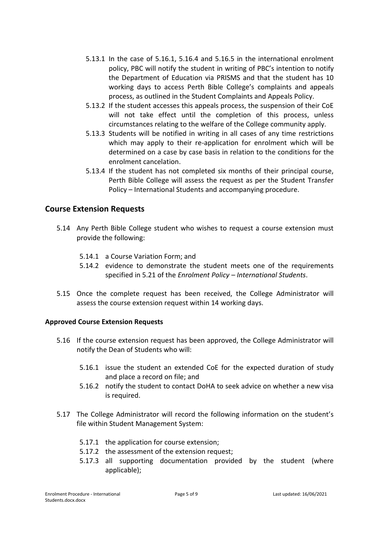- 5.13.1 In the case of 5.16.1, 5.16.4 and 5.16.5 in the international enrolment policy, PBC will notify the student in writing of PBC's intention to notify the Department of Education via PRISMS and that the student has 10 working days to access Perth Bible College's complaints and appeals process, as outlined in the Student Complaints and Appeals Policy.
- 5.13.2 If the student accesses this appeals process, the suspension of their CoE will not take effect until the completion of this process, unless circumstances relating to the welfare of the College community apply.
- 5.13.3 Students will be notified in writing in all cases of any time restrictions which may apply to their re-application for enrolment which will be determined on a case by case basis in relation to the conditions for the enrolment cancelation.
- 5.13.4 If the student has not completed six months of their principal course, Perth Bible College will assess the request as per the Student Transfer Policy – International Students and accompanying procedure.

# **Course Extension Requests**

- 5.14 Any Perth Bible College student who wishes to request a course extension must provide the following:
	- 5.14.1 a Course Variation Form; and
	- 5.14.2 evidence to demonstrate the student meets one of the requirements specified in 5.21 of the *Enrolment Policy – International Students*.
- 5.15 Once the complete request has been received, the College Administrator will assess the course extension request within 14 working days.

### **Approved Course Extension Requests**

- 5.16 If the course extension request has been approved, the College Administrator will notify the Dean of Students who will:
	- 5.16.1 issue the student an extended CoE for the expected duration of study and place a record on file; and
	- 5.16.2 notify the student to contact DoHA to seek advice on whether a new visa is required.
- 5.17 The College Administrator will record the following information on the student's file within Student Management System:
	- 5.17.1 the application for course extension;
	- 5.17.2 the assessment of the extension request;
	- 5.17.3 all supporting documentation provided by the student (where applicable);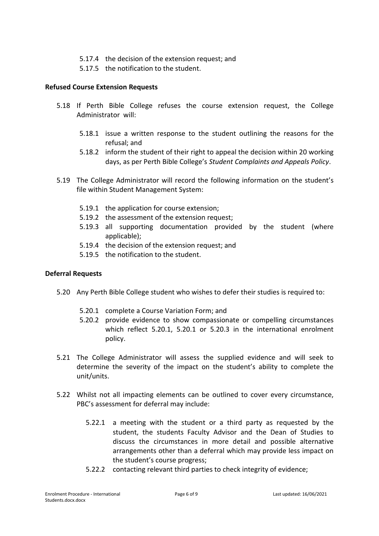- 5.17.4 the decision of the extension request; and
- 5.17.5 the notification to the student.

#### **Refused Course Extension Requests**

- 5.18 If Perth Bible College refuses the course extension request, the College Administrator will:
	- 5.18.1 issue a written response to the student outlining the reasons for the refusal; and
	- 5.18.2 inform the student of their right to appeal the decision within 20 working days, as per Perth Bible College's *Student Complaints and Appeals Policy*.
- 5.19 The College Administrator will record the following information on the student's file within Student Management System:
	- 5.19.1 the application for course extension;
	- 5.19.2 the assessment of the extension request;
	- 5.19.3 all supporting documentation provided by the student (where applicable);
	- 5.19.4 the decision of the extension request; and
	- 5.19.5 the notification to the student.

#### **Deferral Requests**

- 5.20 Any Perth Bible College student who wishes to defer their studies is required to:
	- 5.20.1 complete a Course Variation Form; and
	- 5.20.2 provide evidence to show compassionate or compelling circumstances which reflect 5.20.1, 5.20.1 or 5.20.3 in the international enrolment policy.
- 5.21 The College Administrator will assess the supplied evidence and will seek to determine the severity of the impact on the student's ability to complete the unit/units.
- 5.22 Whilst not all impacting elements can be outlined to cover every circumstance, PBC's assessment for deferral may include:
	- 5.22.1 a meeting with the student or a third party as requested by the student, the students Faculty Advisor and the Dean of Studies to discuss the circumstances in more detail and possible alternative arrangements other than a deferral which may provide less impact on the student's course progress;
	- 5.22.2 contacting relevant third parties to check integrity of evidence;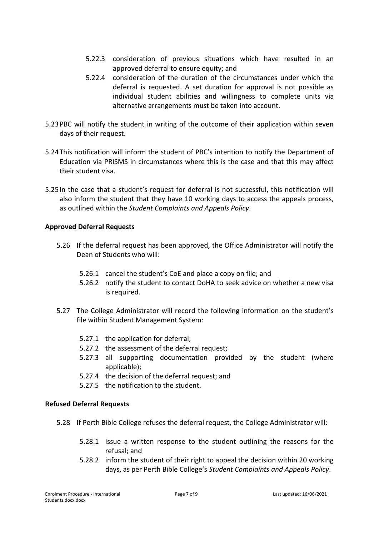- 5.22.3 consideration of previous situations which have resulted in an approved deferral to ensure equity; and
- 5.22.4 consideration of the duration of the circumstances under which the deferral is requested. A set duration for approval is not possible as individual student abilities and willingness to complete units via alternative arrangements must be taken into account.
- 5.23PBC will notify the student in writing of the outcome of their application within seven days of their request.
- 5.24This notification will inform the student of PBC's intention to notify the Department of Education via PRISMS in circumstances where this is the case and that this may affect their student visa.
- 5.25In the case that a student's request for deferral is not successful, this notification will also inform the student that they have 10 working days to access the appeals process, as outlined within the *Student Complaints and Appeals Policy*.

#### **Approved Deferral Requests**

- 5.26 If the deferral request has been approved, the Office Administrator will notify the Dean of Students who will:
	- 5.26.1 cancel the student's CoE and place a copy on file; and
	- 5.26.2 notify the student to contact DoHA to seek advice on whether a new visa is required.
- 5.27 The College Administrator will record the following information on the student's file within Student Management System:
	- 5.27.1 the application for deferral;
	- 5.27.2 the assessment of the deferral request;
	- 5.27.3 all supporting documentation provided by the student (where applicable);
	- 5.27.4 the decision of the deferral request; and
	- 5.27.5 the notification to the student.

#### **Refused Deferral Requests**

- 5.28 If Perth Bible College refuses the deferral request, the College Administrator will:
	- 5.28.1 issue a written response to the student outlining the reasons for the refusal; and
	- 5.28.2 inform the student of their right to appeal the decision within 20 working days, as per Perth Bible College's *Student Complaints and Appeals Policy*.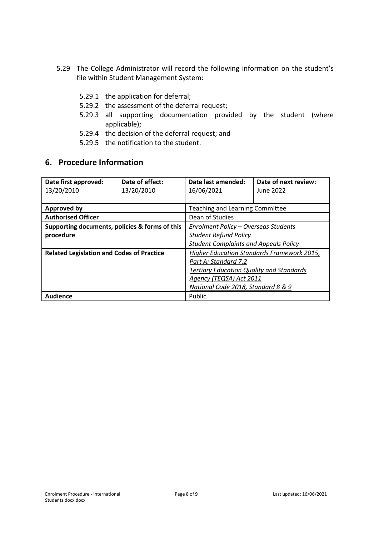- 5.29 The College Administrator will record the following information on the student's file within Student Management System:
	- 5.29.1 the application for deferral;
	- 5.29.2 the assessment of the deferral request;
	- 5.29.3 all supporting documentation provided by the student (where applicable);
	- 5.29.4 the decision of the deferral request; and
	- 5.29.5 the notification to the student.

# **6. Procedure Information**

| Date first approved:<br>13/20/2010                          | Date of effect:<br>13/20/2010 | Date last amended:<br>16/06/2021                                                                                                                                                       | Date of next review:<br>June 2022 |
|-------------------------------------------------------------|-------------------------------|----------------------------------------------------------------------------------------------------------------------------------------------------------------------------------------|-----------------------------------|
| <b>Approved by</b>                                          |                               | <b>Teaching and Learning Committee</b>                                                                                                                                                 |                                   |
| <b>Authorised Officer</b>                                   |                               | Dean of Studies                                                                                                                                                                        |                                   |
| Supporting documents, policies & forms of this<br>procedure |                               | Enrolment Policy - Overseas Students<br><b>Student Refund Policy</b><br><b>Student Complaints and Appeals Policy</b>                                                                   |                                   |
| <b>Related Legislation and Codes of Practice</b>            |                               | Higher Education Standards Framework 2015,<br>Part A: Standard 7.2<br><b>Tertiary Education Quality and Standards</b><br>Agency (TEQSA) Act 2011<br>National Code 2018, Standard 8 & 9 |                                   |
| <b>Audience</b>                                             |                               | Public                                                                                                                                                                                 |                                   |